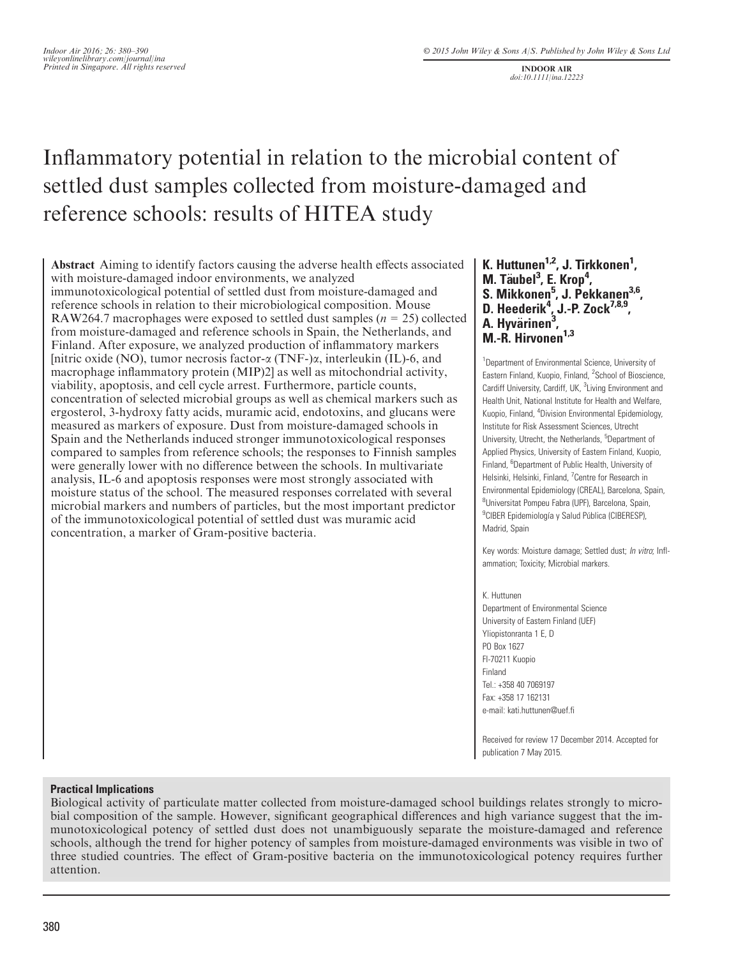doi:10.1111/ina.12223

# Inflammatory potential in relation to the microbial content of settled dust samples collected from moisture-damaged and reference schools: results of HITEA study

Abstract Aiming to identify factors causing the adverse health effects associated with moisture-damaged indoor environments, we analyzed immunotoxicological potential of settled dust from moisture-damaged and reference schools in relation to their microbiological composition. Mouse RAW264.7 macrophages were exposed to settled dust samples ( $n = 25$ ) collected from moisture-damaged and reference schools in Spain, the Netherlands, and Finland. After exposure, we analyzed production of inflammatory markers [nitric oxide (NO), tumor necrosis factor- $\alpha$  (TNF-) $\alpha$ , interleukin (IL)-6, and macrophage inflammatory protein (MIP)2] as well as mitochondrial activity, viability, apoptosis, and cell cycle arrest. Furthermore, particle counts, concentration of selected microbial groups as well as chemical markers such as ergosterol, 3-hydroxy fatty acids, muramic acid, endotoxins, and glucans were measured as markers of exposure. Dust from moisture-damaged schools in Spain and the Netherlands induced stronger immunotoxicological responses compared to samples from reference schools; the responses to Finnish samples were generally lower with no difference between the schools. In multivariate analysis, IL-6 and apoptosis responses were most strongly associated with moisture status of the school. The measured responses correlated with several microbial markers and numbers of particles, but the most important predictor of the immunotoxicological potential of settled dust was muramic acid concentration, a marker of Gram-positive bacteria.

# K. Huttunen<sup>1,2</sup>, J. Tirkkonen<sup>1</sup>, M. Täubel<sup>3</sup>, E. Krop<sup>4</sup>, S. Mikkonen<sup>5</sup>, J. Pekkanen<sup>3,6</sup>, D. Heederik $^4$ , J.-P. Zock $^{7,8,9}$ , A. Hyvärinen<sup>3</sup>, M.-R. Hirvonen<sup>1,3</sup>

<sup>1</sup>Department of Environmental Science, University of Eastern Finland, Kuopio, Finland, <sup>2</sup>School of Bioscience, Cardiff University, Cardiff, UK, <sup>3</sup> Living Environment and Health Unit, National Institute for Health and Welfare, Kuopio, Finland, <sup>4</sup> Division Environmental Epidemiology, Institute for Risk Assessment Sciences, Utrecht University, Utrecht, the Netherlands, <sup>5</sup>Department of Applied Physics, University of Eastern Finland, Kuopio, Finland, <sup>6</sup>Department of Public Health, University of Helsinki, Helsinki, Finland, <sup>7</sup> Centre for Research in Environmental Epidemiology (CREAL), Barcelona, Spain, 8 Universitat Pompeu Fabra (UPF), Barcelona, Spain, 9 CIBER Epidemiología y Salud Pública (CIBERESP), Madrid, Spain

Key words: Moisture damage; Settled dust; In vitro; Inflammation; Toxicity; Microbial markers.

#### K. Huttunen

Department of Environmental Science University of Eastern Finland (UEF) Yliopistonranta 1 E, D PO Box 1627 FI-70211 Kuopio Finland Tel.: +358 40 7069197 Fax: +358 17 162131 e-mail: kati.huttunen@uef.fi

Received for review 17 December 2014. Accepted for publication 7 May 2015.

#### Practical Implications

Biological activity of particulate matter collected from moisture-damaged school buildings relates strongly to microbial composition of the sample. However, significant geographical differences and high variance suggest that the immunotoxicological potency of settled dust does not unambiguously separate the moisture-damaged and reference schools, although the trend for higher potency of samples from moisture-damaged environments was visible in two of three studied countries. The effect of Gram-positive bacteria on the immunotoxicological potency requires further attention.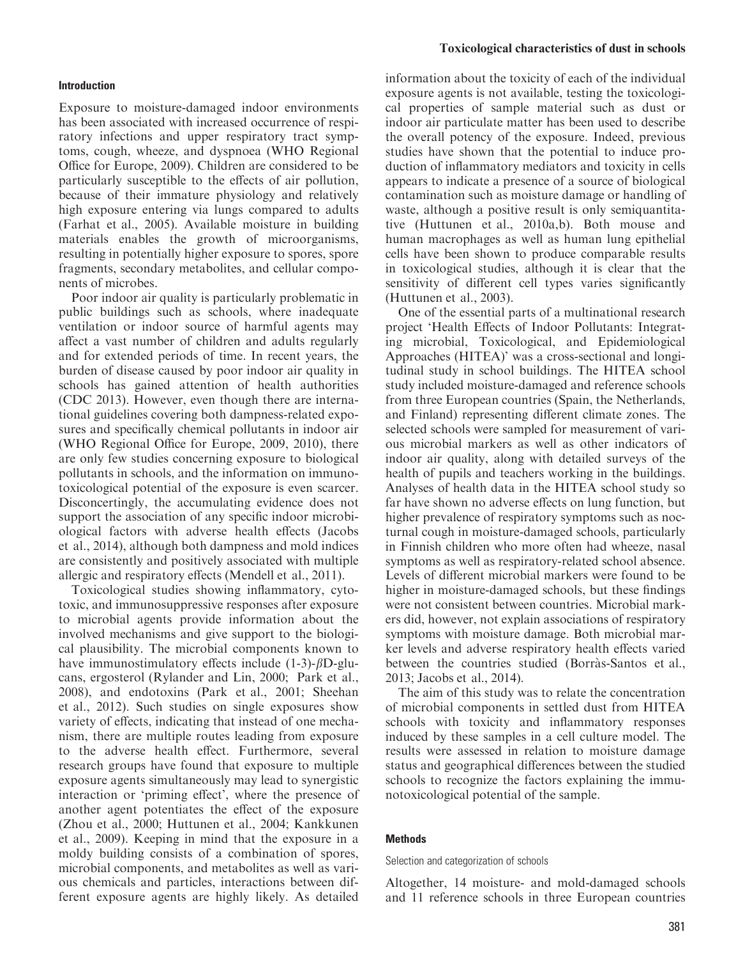#### Introduction

Exposure to moisture-damaged indoor environments has been associated with increased occurrence of respiratory infections and upper respiratory tract symptoms, cough, wheeze, and dyspnoea (WHO Regional Office for Europe, 2009). Children are considered to be particularly susceptible to the effects of air pollution, because of their immature physiology and relatively high exposure entering via lungs compared to adults (Farhat et al., 2005). Available moisture in building materials enables the growth of microorganisms, resulting in potentially higher exposure to spores, spore fragments, secondary metabolites, and cellular components of microbes.

Poor indoor air quality is particularly problematic in public buildings such as schools, where inadequate ventilation or indoor source of harmful agents may affect a vast number of children and adults regularly and for extended periods of time. In recent years, the burden of disease caused by poor indoor air quality in schools has gained attention of health authorities (CDC 2013). However, even though there are international guidelines covering both dampness-related exposures and specifically chemical pollutants in indoor air (WHO Regional Office for Europe, 2009, 2010), there are only few studies concerning exposure to biological pollutants in schools, and the information on immunotoxicological potential of the exposure is even scarcer. Disconcertingly, the accumulating evidence does not support the association of any specific indoor microbiological factors with adverse health effects (Jacobs et al., 2014), although both dampness and mold indices are consistently and positively associated with multiple allergic and respiratory effects (Mendell et al., 2011).

Toxicological studies showing inflammatory, cytotoxic, and immunosuppressive responses after exposure to microbial agents provide information about the involved mechanisms and give support to the biological plausibility. The microbial components known to have immunostimulatory effects include  $(1-3)$ - $\beta$ D-glucans, ergosterol (Rylander and Lin, 2000; Park et al., 2008), and endotoxins (Park et al., 2001; Sheehan et al., 2012). Such studies on single exposures show variety of effects, indicating that instead of one mechanism, there are multiple routes leading from exposure to the adverse health effect. Furthermore, several research groups have found that exposure to multiple exposure agents simultaneously may lead to synergistic interaction or 'priming effect', where the presence of another agent potentiates the effect of the exposure (Zhou et al., 2000; Huttunen et al., 2004; Kankkunen et al., 2009). Keeping in mind that the exposure in a moldy building consists of a combination of spores, microbial components, and metabolites as well as various chemicals and particles, interactions between different exposure agents are highly likely. As detailed

information about the toxicity of each of the individual exposure agents is not available, testing the toxicological properties of sample material such as dust or indoor air particulate matter has been used to describe the overall potency of the exposure. Indeed, previous studies have shown that the potential to induce production of inflammatory mediators and toxicity in cells appears to indicate a presence of a source of biological contamination such as moisture damage or handling of waste, although a positive result is only semiquantitative (Huttunen et al., 2010a,b). Both mouse and human macrophages as well as human lung epithelial cells have been shown to produce comparable results in toxicological studies, although it is clear that the sensitivity of different cell types varies significantly (Huttunen et al., 2003).

One of the essential parts of a multinational research project 'Health Effects of Indoor Pollutants: Integrating microbial, Toxicological, and Epidemiological Approaches (HITEA)' was a cross-sectional and longitudinal study in school buildings. The HITEA school study included moisture-damaged and reference schools from three European countries (Spain, the Netherlands, and Finland) representing different climate zones. The selected schools were sampled for measurement of various microbial markers as well as other indicators of indoor air quality, along with detailed surveys of the health of pupils and teachers working in the buildings. Analyses of health data in the HITEA school study so far have shown no adverse effects on lung function, but higher prevalence of respiratory symptoms such as nocturnal cough in moisture-damaged schools, particularly in Finnish children who more often had wheeze, nasal symptoms as well as respiratory-related school absence. Levels of different microbial markers were found to be higher in moisture-damaged schools, but these findings were not consistent between countries. Microbial markers did, however, not explain associations of respiratory symptoms with moisture damage. Both microbial marker levels and adverse respiratory health effects varied between the countries studied (Borràs-Santos et al., 2013; Jacobs et al., 2014).

The aim of this study was to relate the concentration of microbial components in settled dust from HITEA schools with toxicity and inflammatory responses induced by these samples in a cell culture model. The results were assessed in relation to moisture damage status and geographical differences between the studied schools to recognize the factors explaining the immunotoxicological potential of the sample.

#### **Methods**

Selection and categorization of schools

Altogether, 14 moisture- and mold-damaged schools and 11 reference schools in three European countries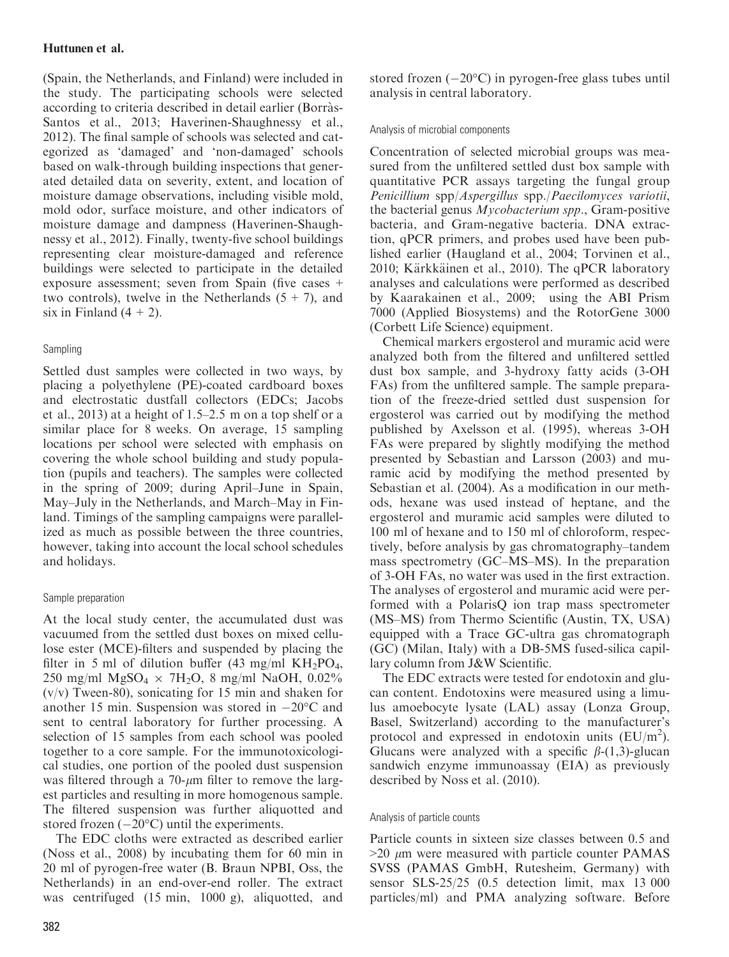(Spain, the Netherlands, and Finland) were included in the study. The participating schools were selected according to criteria described in detail earlier (Borràs-Santos et al., 2013; Haverinen-Shaughnessy et al., 2012). The final sample of schools was selected and categorized as 'damaged' and 'non-damaged' schools based on walk-through building inspections that generated detailed data on severity, extent, and location of moisture damage observations, including visible mold, mold odor, surface moisture, and other indicators of moisture damage and dampness (Haverinen-Shaughnessy et al., 2012). Finally, twenty-five school buildings representing clear moisture-damaged and reference buildings were selected to participate in the detailed exposure assessment; seven from Spain (five cases + two controls), twelve in the Netherlands  $(5 + 7)$ , and six in Finland  $(4 + 2)$ .

# Sampling

Settled dust samples were collected in two ways, by placing a polyethylene (PE)-coated cardboard boxes and electrostatic dustfall collectors (EDCs; Jacobs et al., 2013) at a height of 1.5–2.5 m on a top shelf or a similar place for 8 weeks. On average, 15 sampling locations per school were selected with emphasis on covering the whole school building and study population (pupils and teachers). The samples were collected in the spring of 2009; during April–June in Spain, May–July in the Netherlands, and March–May in Finland. Timings of the sampling campaigns were parallelized as much as possible between the three countries, however, taking into account the local school schedules and holidays.

# Sample preparation

At the local study center, the accumulated dust was vacuumed from the settled dust boxes on mixed cellulose ester (MCE)-filters and suspended by placing the filter in 5 ml of dilution buffer (43 mg/ml  $KH_2PO_4$ , 250 mg/ml  $MgSO_4 \times 7H_2O$ , 8 mg/ml NaOH, 0.02%  $(v/v)$  Tween-80), sonicating for 15 min and shaken for another 15 min. Suspension was stored in  $-20^{\circ}$ C and sent to central laboratory for further processing. A selection of 15 samples from each school was pooled together to a core sample. For the immunotoxicological studies, one portion of the pooled dust suspension was filtered through a  $70$ - $\mu$ m filter to remove the largest particles and resulting in more homogenous sample. The filtered suspension was further aliquotted and stored frozen  $(-20^{\circ}C)$  until the experiments.

The EDC cloths were extracted as described earlier (Noss et al., 2008) by incubating them for 60 min in 20 ml of pyrogen-free water (B. Braun NPBI, Oss, the Netherlands) in an end-over-end roller. The extract was centrifuged (15 min, 1000 g), aliquotted, and

stored frozen  $(-20^{\circ}C)$  in pyrogen-free glass tubes until analysis in central laboratory.

# Analysis of microbial components

Concentration of selected microbial groups was measured from the unfiltered settled dust box sample with quantitative PCR assays targeting the fungal group Penicillium spp/Aspergillus spp./Paecilomyces variotii, the bacterial genus Mycobacterium spp., Gram-positive bacteria, and Gram-negative bacteria. DNA extraction, qPCR primers, and probes used have been published earlier (Haugland et al., 2004; Torvinen et al., 2010; Kärkkäinen et al., 2010). The qPCR laboratory analyses and calculations were performed as described by Kaarakainen et al., 2009; using the ABI Prism 7000 (Applied Biosystems) and the RotorGene 3000 (Corbett Life Science) equipment.

Chemical markers ergosterol and muramic acid were analyzed both from the filtered and unfiltered settled dust box sample, and 3-hydroxy fatty acids (3-OH FAs) from the unfiltered sample. The sample preparation of the freeze-dried settled dust suspension for ergosterol was carried out by modifying the method published by Axelsson et al. (1995), whereas 3-OH FAs were prepared by slightly modifying the method presented by Sebastian and Larsson (2003) and muramic acid by modifying the method presented by Sebastian et al. (2004). As a modification in our methods, hexane was used instead of heptane, and the ergosterol and muramic acid samples were diluted to 100 ml of hexane and to 150 ml of chloroform, respectively, before analysis by gas chromatography–tandem mass spectrometry (GC–MS–MS). In the preparation of 3-OH FAs, no water was used in the first extraction. The analyses of ergosterol and muramic acid were performed with a PolarisQ ion trap mass spectrometer (MS–MS) from Thermo Scientific (Austin, TX, USA) equipped with a Trace GC-ultra gas chromatograph (GC) (Milan, Italy) with a DB-5MS fused-silica capillary column from J&W Scientific.

The EDC extracts were tested for endotoxin and glucan content. Endotoxins were measured using a limulus amoebocyte lysate (LAL) assay (Lonza Group, Basel, Switzerland) according to the manufacturer's protocol and expressed in endotoxin units  $(EU/m^2)$ . Glucans were analyzed with a specific  $\beta$ -(1,3)-glucan sandwich enzyme immunoassay (EIA) as previously described by Noss et al. (2010).

# Analysis of particle counts

Particle counts in sixteen size classes between 0.5 and  $>20$   $\mu$ m were measured with particle counter PAMAS SVSS (PAMAS GmbH, Rutesheim, Germany) with sensor SLS-25/25 (0.5 detection limit, max 13 000 particles/ml) and PMA analyzing software. Before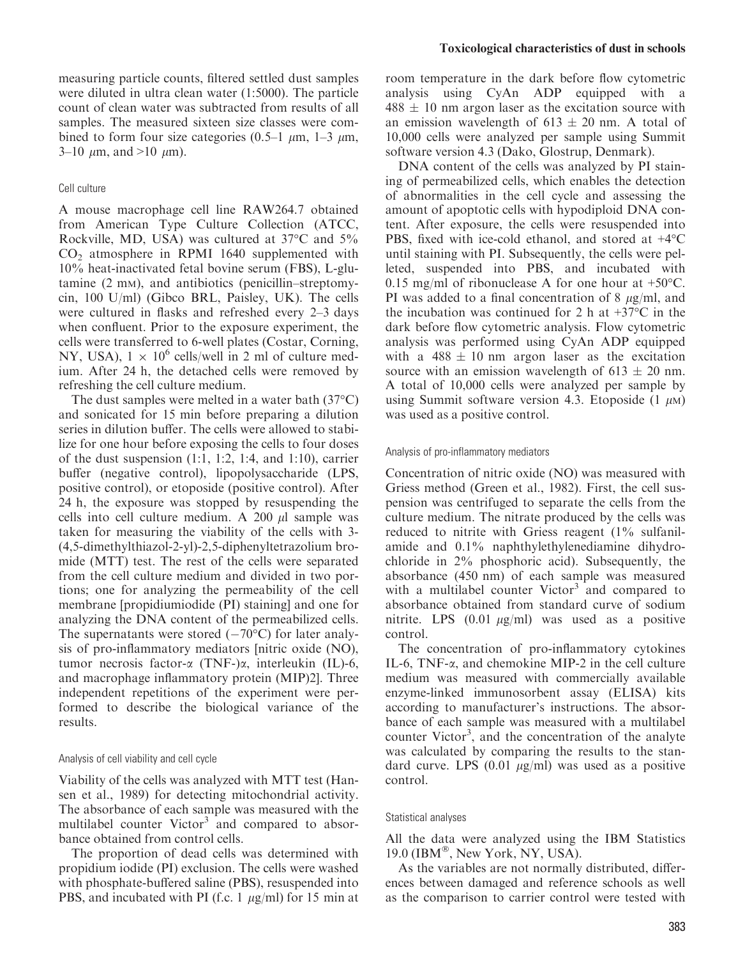measuring particle counts, filtered settled dust samples were diluted in ultra clean water (1:5000). The particle count of clean water was subtracted from results of all samples. The measured sixteen size classes were combined to form four size categories  $(0.5-1 \mu m, 1-3 \mu m,$ 3–10  $\mu$ m, and >10  $\mu$ m).

#### Cell culture

A mouse macrophage cell line RAW264.7 obtained from American Type Culture Collection (ATCC, Rockville, MD, USA) was cultured at 37°C and 5%  $CO<sub>2</sub>$  atmosphere in RPMI 1640 supplemented with 10% heat-inactivated fetal bovine serum (FBS), L-glutamine (2 mM), and antibiotics (penicillin–streptomycin, 100 U/ml) (Gibco BRL, Paisley, UK). The cells were cultured in flasks and refreshed every 2–3 days when confluent. Prior to the exposure experiment, the cells were transferred to 6-well plates (Costar, Corning, NY, USA),  $1 \times 10^6$  cells/well in 2 ml of culture medium. After 24 h, the detached cells were removed by refreshing the cell culture medium.

The dust samples were melted in a water bath (37°C) and sonicated for 15 min before preparing a dilution series in dilution buffer. The cells were allowed to stabilize for one hour before exposing the cells to four doses of the dust suspension (1:1, 1:2, 1:4, and 1:10), carrier buffer (negative control), lipopolysaccharide (LPS, positive control), or etoposide (positive control). After 24 h, the exposure was stopped by resuspending the cells into cell culture medium. A 200  $\mu$ l sample was taken for measuring the viability of the cells with 3- (4,5-dimethylthiazol-2-yl)-2,5-diphenyltetrazolium bromide (MTT) test. The rest of the cells were separated from the cell culture medium and divided in two portions; one for analyzing the permeability of the cell membrane [propidiumiodide (PI) staining] and one for analyzing the DNA content of the permeabilized cells. The supernatants were stored  $(-70^{\circ}C)$  for later analysis of pro-inflammatory mediators [nitric oxide (NO), tumor necrosis factor-a (TNF-)a, interleukin (IL)-6, and macrophage inflammatory protein (MIP)2]. Three independent repetitions of the experiment were performed to describe the biological variance of the results.

#### Analysis of cell viability and cell cycle

Viability of the cells was analyzed with MTT test (Hansen et al., 1989) for detecting mitochondrial activity. The absorbance of each sample was measured with the multilabel counter Victor<sup>3</sup> and compared to absorbance obtained from control cells.

The proportion of dead cells was determined with propidium iodide (PI) exclusion. The cells were washed with phosphate-buffered saline (PBS), resuspended into PBS, and incubated with PI (f.c. 1  $\mu$ g/ml) for 15 min at

room temperature in the dark before flow cytometric analysis using CyAn ADP equipped with a  $488 \pm 10$  nm argon laser as the excitation source with an emission wavelength of  $613 \pm 20$  nm. A total of 10,000 cells were analyzed per sample using Summit software version 4.3 (Dako, Glostrup, Denmark).

DNA content of the cells was analyzed by PI staining of permeabilized cells, which enables the detection of abnormalities in the cell cycle and assessing the amount of apoptotic cells with hypodiploid DNA content. After exposure, the cells were resuspended into PBS, fixed with ice-cold ethanol, and stored at +4°C until staining with PI. Subsequently, the cells were pelleted, suspended into PBS, and incubated with 0.15 mg/ml of ribonuclease A for one hour at  $+50^{\circ}$ C. PI was added to a final concentration of 8  $\mu$ g/ml, and the incubation was continued for 2 h at  $+37^{\circ}$ C in the dark before flow cytometric analysis. Flow cytometric analysis was performed using CyAn ADP equipped with a  $488 \pm 10$  nm argon laser as the excitation source with an emission wavelength of  $613 \pm 20$  nm. A total of 10,000 cells were analyzed per sample by using Summit software version 4.3. Etoposide  $(1 \mu M)$ was used as a positive control.

#### Analysis of pro-inflammatory mediators

Concentration of nitric oxide (NO) was measured with Griess method (Green et al., 1982). First, the cell suspension was centrifuged to separate the cells from the culture medium. The nitrate produced by the cells was reduced to nitrite with Griess reagent (1% sulfanilamide and 0.1% naphthylethylenediamine dihydrochloride in 2% phosphoric acid). Subsequently, the absorbance (450 nm) of each sample was measured with a multilabel counter Victor<sup>3</sup> and compared to absorbance obtained from standard curve of sodium nitrite. LPS  $(0.01 \mu g/ml)$  was used as a positive control.

The concentration of pro-inflammatory cytokines IL-6, TNF- $\alpha$ , and chemokine MIP-2 in the cell culture medium was measured with commercially available enzyme-linked immunosorbent assay (ELISA) kits according to manufacturer's instructions. The absorbance of each sample was measured with a multilabel counter Victor<sup>3</sup>, and the concentration of the analyte was calculated by comparing the results to the standard curve. LPS  $(0.01 \mu g/ml)$  was used as a positive control.

#### Statistical analyses

All the data were analyzed using the IBM Statistics 19.0 (IBM $^{\circledR}$ , New York, NY, USA).

As the variables are not normally distributed, differences between damaged and reference schools as well as the comparison to carrier control were tested with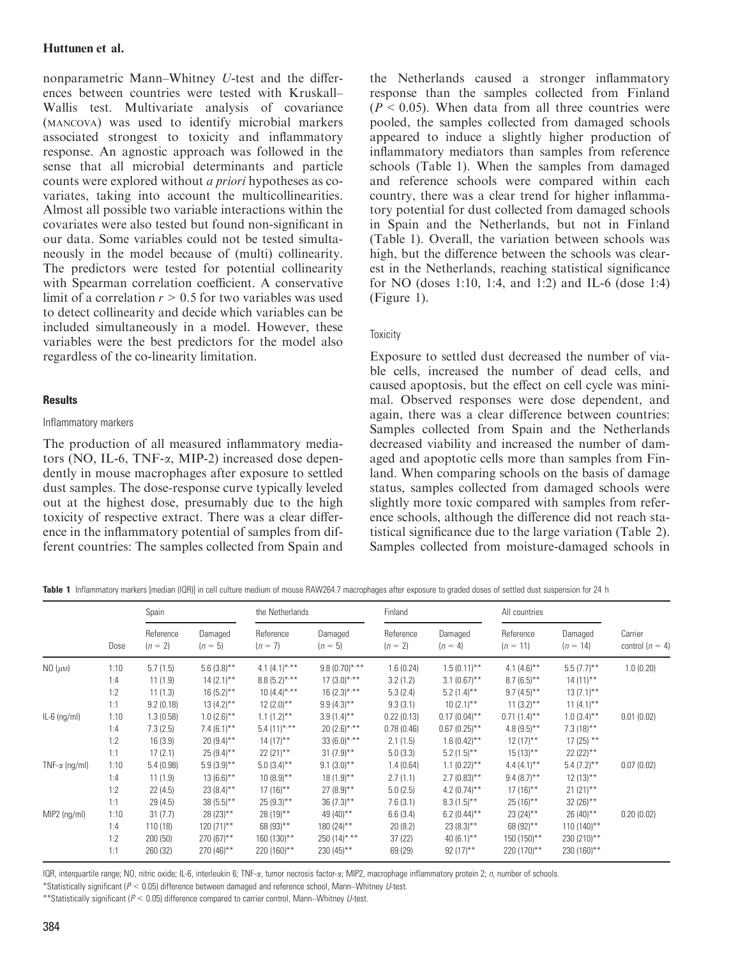nonparametric Mann–Whitney U-test and the differences between countries were tested with Kruskall– Wallis test. Multivariate analysis of covariance (MANCOVA) was used to identify microbial markers associated strongest to toxicity and inflammatory response. An agnostic approach was followed in the sense that all microbial determinants and particle counts were explored without a priori hypotheses as covariates, taking into account the multicollinearities. Almost all possible two variable interactions within the covariates were also tested but found non-significant in our data. Some variables could not be tested simultaneously in the model because of (multi) collinearity. The predictors were tested for potential collinearity with Spearman correlation coefficient. A conservative limit of a correlation  $r > 0.5$  for two variables was used to detect collinearity and decide which variables can be included simultaneously in a model. However, these variables were the best predictors for the model also regardless of the co-linearity limitation.

# **Results**

### Inflammatory markers

The production of all measured inflammatory mediators (NO, IL-6, TNF-a, MIP-2) increased dose dependently in mouse macrophages after exposure to settled dust samples. The dose-response curve typically leveled out at the highest dose, presumably due to the high toxicity of respective extract. There was a clear difference in the inflammatory potential of samples from different countries: The samples collected from Spain and the Netherlands caused a stronger inflammatory response than the samples collected from Finland  $(P < 0.05)$ . When data from all three countries were pooled, the samples collected from damaged schools appeared to induce a slightly higher production of inflammatory mediators than samples from reference schools (Table 1). When the samples from damaged and reference schools were compared within each country, there was a clear trend for higher inflammatory potential for dust collected from damaged schools in Spain and the Netherlands, but not in Finland (Table 1). Overall, the variation between schools was high, but the difference between the schools was clearest in the Netherlands, reaching statistical significance for NO (doses 1:10, 1:4, and 1:2) and IL-6 (dose 1:4) (Figure 1).

### **Toxicity**

Exposure to settled dust decreased the number of viable cells, increased the number of dead cells, and caused apoptosis, but the effect on cell cycle was minimal. Observed responses were dose dependent, and again, there was a clear difference between countries: Samples collected from Spain and the Netherlands decreased viability and increased the number of damaged and apoptotic cells more than samples from Finland. When comparing schools on the basis of damage status, samples collected from damaged schools were slightly more toxic compared with samples from reference schools, although the difference did not reach statistical significance due to the large variation (Table 2). Samples collected from moisture-damaged schools in

Table 1 Inflammatory markers [median (IQR)] in cell culture medium of mouse RAW264.7 macrophages after exposure to graded doses of settled dust suspension for 24 h

|                       |      | Spain                  |                           | the Netherlands        |                      | Finland                |                            | All countries             |                       |                              |
|-----------------------|------|------------------------|---------------------------|------------------------|----------------------|------------------------|----------------------------|---------------------------|-----------------------|------------------------------|
|                       | Dose | Reference<br>$(n = 2)$ | Damaged<br>$(n = 5)$      | Reference<br>$(n = 7)$ | Damaged<br>$(n = 5)$ | Reference<br>$(n = 2)$ | Damaged<br>$(n = 4)$       | Reference<br>$(n = 11)$   | Damaged<br>$(n = 14)$ | Carrier<br>control $(n = 4)$ |
| $NO(\mu M)$           | 1:10 | 5.7(1.5)               | $5.6(3.8)$ **             | 4.1 $(4.1)^{*,**}$     | $9.8(0.70)$ *,**     | 1.6(0.24)              | $1.5(0.11)$ **             | 4.1 $(4.6)$ <sup>**</sup> | $5.5(7.7)$ **         | 1.0(0.20)                    |
|                       | 1:4  | 11(1.9)                | $14(2.1)$ **              | $8.8(5.2)$ *,**        | $17(3.0)$ *,**       | 3.2(1.2)               | $3.1(0.67)$ **             | $8.7(6.5)$ **             | $14(11)$ **           |                              |
|                       | 1:2  | 11(1.3)                | $16(5.2)$ **              | $10(4.4)$ *,**         | $16(2.3)$ *,**       | 5.3(2.4)               | $5.2(1.4)$ **              | $9.7(4.5)$ **             | $13(7.1)$ **          |                              |
|                       | 1:1  | 9.2(0.18)              | $13(4.2)$ **              | $12(2.0)$ **           | $9.9(4.3)$ **        | 9.3(3.1)               | $10(2.1)$ **               | $11(3.2)$ **              | $11(4.1)$ **          |                              |
| $IL-6$ (ng/ml)        | 1:10 | 1.3(0.58)              | $1.0(2.6)$ **             | $1.1(1.2)$ **          | $3.9(1.4)$ **        | 0.22(0.13)             | $0.17(0.04)$ **            | $0.71(1.4)$ **            | $1.0(3.4)$ **         | 0.01(0.02)                   |
|                       | 1:4  | 7.3(2.5)               | 7.4 $(6.1)$ <sup>**</sup> | $5.4(11)^{*,**}$       | $20(2.6)$ *,**       | 0.78(0.46)             | $0.67(0.25)$ **            | $4.8(9.5)$ **             | $7.3(18)$ **          |                              |
|                       | 1:2  | 16(3.9)                | $20(9.4)$ **              | $14(17)$ **            | $33(6.0)$ *,**       | 2.1(1.5)               | $1.6(0.42)$ **             | $12(17)$ **               | $17(25)$ **           |                              |
|                       | 1:1  | 17(2.1)                | $25(9.4)$ **              | $22(21)$ **            | $31(7.9)$ **         | 5.0(3.3)               | $5.2(1.5)$ **              | $15(13)$ **               | $22(22)$ **           |                              |
| TNF- $\alpha$ (ng/ml) | 1:10 | 5.4(0.98)              | $5.9(3.9)$ **             | $5.0(3.4)$ **          | $9.1(3.0)$ **        | 1.4(0.64)              | $1.1(0.22)$ **             | $4.4(4.1)$ **             | $5.4(7.2)$ **         | 0.07(0.02)                   |
|                       | 1:4  | 11(1.9)                | $13(6.6)$ **              | $10(8.9)$ **           | $18(1.9)$ **         | 2.7(1.1)               | $2.7(0.83)$ **             | $9.4(8.7)$ **             | $12(13)$ **           |                              |
|                       | 1:2  | 22(4.5)                | $23(8.4)$ **              | $17(16)$ **            | $27(8.9)$ **         | 5.0(2.5)               | 4.2 $(0.74)$ <sup>**</sup> | $17(16)$ **               | $21(21)$ **           |                              |
|                       | 1:1  | 29(4.5)                | $38(5.5)$ **              | $25(9.3)$ **           | $36(7.3)$ **         | 7.6(3.1)               | $8.3(1.5)$ **              | $25(16)$ **               | $32(26)$ **           |                              |
| $MIP2$ (ng/ml)        | 1:10 | 31(7.7)                | $28(23)$ **               | 28 (19)**              | 49 $(40)$ **         | 6.6(3.4)               | $6.2(0.44)$ **             | $23(24)$ **               | $26(40)$ **           | 0.20(0.02)                   |
|                       | 1:4  | 110(18)                | $120(71)$ **              | 68 (93)**              | $180(24)$ **         | 20(8.2)                | $23(8.3)$ **               | 68 $(92)$ **              | $110(140)$ **         |                              |
|                       | 1:2  | 200(50)                | $270(67)$ **              | 160 (130)**            | $250(14)$ *,**       | 37(22)                 | 40 $(6.1)$ **              | 150 (150)**               | 230 (210)**           |                              |
|                       | 1:1  | 260 (32)               | $270(46)$ **              | 220 (160)**            | $230(45)$ **         | 69 (29)                | $92(17)$ **                | 220 (170)**               | 230 (160)**           |                              |

IQR, interquartile range; NO, nitric oxide; IL-6, interleukin 6; TNF- $\alpha$ , tumor necrosis factor- $\alpha$ ; MIP2, macrophage inflammatory protein 2; n, number of schools.

\*Statistically significant ( $P < 0.05$ ) difference between damaged and reference school, Mann–Whitney U-test.

\*\* Statistically significant ( $P < 0.05$ ) difference compared to carrier control, Mann-Whitney U-test.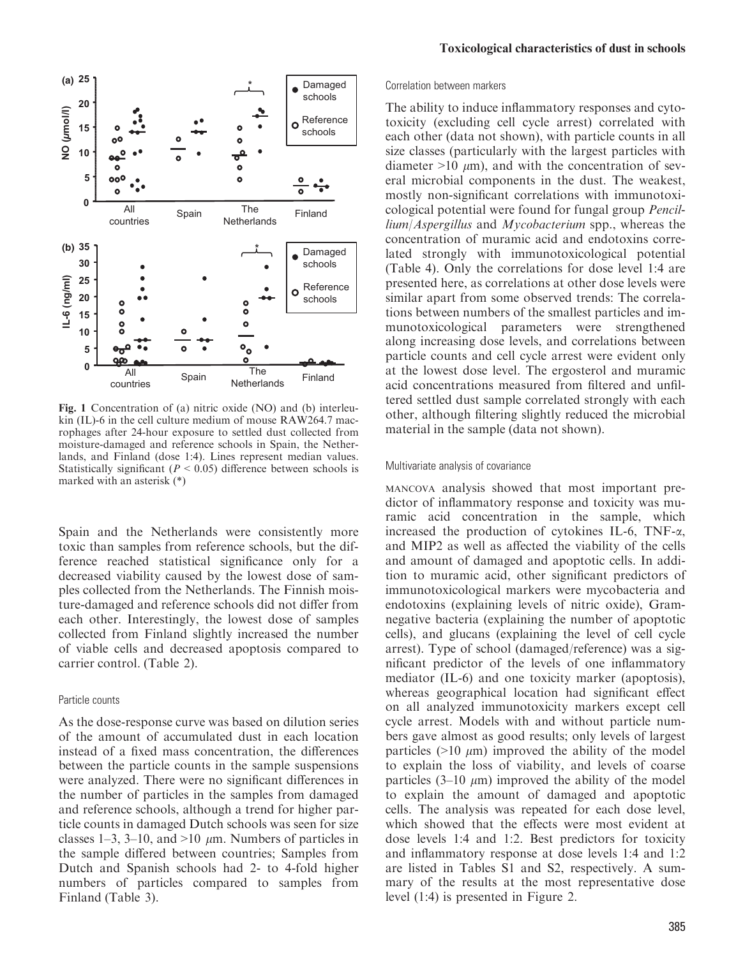

Fig. 1 Concentration of (a) nitric oxide (NO) and (b) interleukin (IL)-6 in the cell culture medium of mouse RAW264.7 macrophages after 24-hour exposure to settled dust collected from moisture-damaged and reference schools in Spain, the Netherlands, and Finland (dose 1:4). Lines represent median values. Statistically significant ( $P < 0.05$ ) difference between schools is marked with an asterisk (\*)

Spain and the Netherlands were consistently more toxic than samples from reference schools, but the difference reached statistical significance only for a decreased viability caused by the lowest dose of samples collected from the Netherlands. The Finnish moisture-damaged and reference schools did not differ from each other. Interestingly, the lowest dose of samples collected from Finland slightly increased the number of viable cells and decreased apoptosis compared to carrier control. (Table 2).

#### Particle counts

As the dose-response curve was based on dilution series of the amount of accumulated dust in each location instead of a fixed mass concentration, the differences between the particle counts in the sample suspensions were analyzed. There were no significant differences in the number of particles in the samples from damaged and reference schools, although a trend for higher particle counts in damaged Dutch schools was seen for size classes 1–3, 3–10, and >10  $\mu$ m. Numbers of particles in the sample differed between countries; Samples from Dutch and Spanish schools had 2- to 4-fold higher numbers of particles compared to samples from Finland (Table 3).

#### Correlation between markers

The ability to induce inflammatory responses and cytotoxicity (excluding cell cycle arrest) correlated with each other (data not shown), with particle counts in all size classes (particularly with the largest particles with diameter  $>10 \mu$ m), and with the concentration of several microbial components in the dust. The weakest, mostly non-significant correlations with immunotoxicological potential were found for fungal group Pencillium/Aspergillus and Mycobacterium spp., whereas the concentration of muramic acid and endotoxins correlated strongly with immunotoxicological potential (Table 4). Only the correlations for dose level 1:4 are presented here, as correlations at other dose levels were similar apart from some observed trends: The correlations between numbers of the smallest particles and immunotoxicological parameters were strengthened along increasing dose levels, and correlations between particle counts and cell cycle arrest were evident only at the lowest dose level. The ergosterol and muramic acid concentrations measured from filtered and unfiltered settled dust sample correlated strongly with each other, although filtering slightly reduced the microbial material in the sample (data not shown).

#### Multivariate analysis of covariance

MANCOVA analysis showed that most important predictor of inflammatory response and toxicity was muramic acid concentration in the sample, which increased the production of cytokines IL-6, TNF- $\alpha$ , and MIP2 as well as affected the viability of the cells and amount of damaged and apoptotic cells. In addition to muramic acid, other significant predictors of immunotoxicological markers were mycobacteria and endotoxins (explaining levels of nitric oxide), Gramnegative bacteria (explaining the number of apoptotic cells), and glucans (explaining the level of cell cycle arrest). Type of school (damaged/reference) was a significant predictor of the levels of one inflammatory mediator (IL-6) and one toxicity marker (apoptosis), whereas geographical location had significant effect on all analyzed immunotoxicity markers except cell cycle arrest. Models with and without particle numbers gave almost as good results; only levels of largest particles ( $>10 \mu m$ ) improved the ability of the model to explain the loss of viability, and levels of coarse particles  $(3-10 \mu m)$  improved the ability of the model to explain the amount of damaged and apoptotic cells. The analysis was repeated for each dose level, which showed that the effects were most evident at dose levels 1:4 and 1:2. Best predictors for toxicity and inflammatory response at dose levels 1:4 and 1:2 are listed in Tables S1 and S2, respectively. A summary of the results at the most representative dose level (1:4) is presented in Figure 2.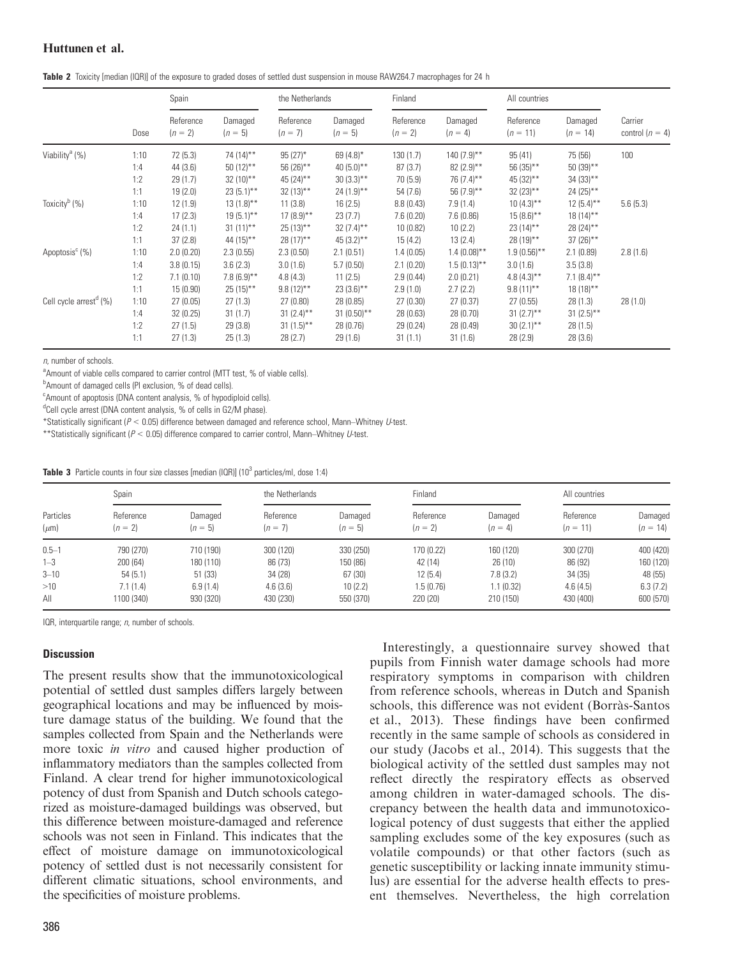|  |  |  |  | Table 2 Toxicity [median (IQR)] of the exposure to graded doses of settled dust suspension in mouse RAW264.7 macrophages for 24 h |  |
|--|--|--|--|-----------------------------------------------------------------------------------------------------------------------------------|--|
|--|--|--|--|-----------------------------------------------------------------------------------------------------------------------------------|--|

|                                      |      | Spain                  |                         | the Netherlands        |                      | Finland                |                      | All countries           |                           |                                |
|--------------------------------------|------|------------------------|-------------------------|------------------------|----------------------|------------------------|----------------------|-------------------------|---------------------------|--------------------------------|
|                                      | Dose | Reference<br>$(n = 2)$ | Damaged<br>$(n = 5)$    | Reference<br>$(n = 7)$ | Damaged<br>$(n = 5)$ | Reference<br>$(n = 2)$ | Damaged<br>$(n = 4)$ | Reference<br>$(n = 11)$ | Damaged<br>$(n = 14)$     | Carrier<br>control ( $n = 4$ ) |
| Viability <sup>a</sup> (%)           | 1:10 | 72 (5.3)               | 74 (14)**               | $95(27)^*$             | 69 $(4.8)$ *         | 130(1.7)               | $140(7.9)$ **        | 95(41)                  | 75 (56)                   | 100                            |
|                                      | 1:4  | 44(3.6)                | $50(12)$ **             | $56(26)$ **            | 40 $(5.0)$ **        | 87(3.7)                | $82(2.9)$ **         | $56(35)$ **             | $50(39)$ **               |                                |
|                                      | 1:2  | 29(1.7)                | $32(10)$ **             | $45(24)$ **            | $30(3.3)$ **         | 70(5.9)                | 76 $(7.4)$ **        | 45 (32)**               | $34(33)$ **               |                                |
|                                      | 1:1  | 19(2.0)                | $23(5.1)$ **            | $32(13)$ **            | $24(1.9)$ **         | 54 (7.6)               | $56(7.9)$ **         | $32(23)$ **             | $24(25)$ **               |                                |
| Toxicity <sup>b</sup> (%)            | 1:10 | 12(1.9)                | $13(1.8)$ **            | 11(3.8)                | 16(2.5)              | 8.8(0.43)              | 7.9(1.4)             | $10(4.3)$ **            | $12(5.4)$ **              | 5.6(5.3)                       |
|                                      | 1:4  | 17(2.3)                | $19(5.1)$ **            | $17(8.9)$ **           | 23(7.7)              | 7.6(0.20)              | 7.6(0.86)            | $15(8.6)$ **            | $18(14)$ **               |                                |
|                                      | 1:2  | 24(1.1)                | $31(11)$ **             | $25(13)$ **            | $32(7.4)$ **         | 10(0.82)               | 10(2.2)              | $23(14)$ **             | $28(24)$ **               |                                |
|                                      | 1:1  | 37(2.8)                | 44 $(15)$ <sup>**</sup> | 28 (17)**              | $45(3.2)$ **         | 15(4.2)                | 13(2.4)              | $28(19)$ **             | $37(26)$ **               |                                |
| Apoptosis <sup>c</sup> (%)           | 1:10 | 2.0(0.20)              | 2.3(0.55)               | 2.3(0.50)              | 2.1(0.51)            | 1.4(0.05)              | $1.4(0.08)$ **       | $1.9(0.56)$ **          | 2.1(0.89)                 | 2.8(1.6)                       |
|                                      | 1:4  | 3.8(0.15)              | 3.6(2.3)                | 3.0(1.6)               | 5.7(0.50)            | 2.1(0.20)              | $1.5(0.13)$ **       | 3.0(1.6)                | 3.5(3.8)                  |                                |
|                                      | 1:2  | 7.1(0.10)              | $7.8(6.9)$ **           | 4.8(4.3)               | 11(2.5)              | 2.9(0.44)              | 2.0(0.21)            | $4.8(4.3)$ **           | 7.1 $(8.4)$ <sup>**</sup> |                                |
|                                      | 1:1  | 15(0.90)               | $25(15)$ **             | $9.8(12)$ **           | $23(3.6)$ **         | 2.9(1.0)               | 2.7(2.2)             | $9.8(11)$ **            | $18(18)$ **               |                                |
| Cell cycle arrest <sup>d</sup> $(%)$ | 1:10 | 27(0.05)               | 27(1.3)                 | 27(0.80)               | 28 (0.85)            | 27(0.30)               | 27(0.37)             | 27(0.55)                | 28(1.3)                   | 28(1.0)                        |
|                                      | 1:4  | 32(0.25)               | 31(1.7)                 | $31(2.4)$ **           | $31(0.50)$ **        | 28 (0.63)              | 28 (0.70)            | $31(2.7)$ **            | $31(2.5)$ **              |                                |
|                                      | 1:2  | 27(1.5)                | 29(3.8)                 | $31(1.5)$ **           | 28 (0.76)            | 29 (0.24)              | 28 (0.49)            | $30(2.1)$ **            | 28(1.5)                   |                                |
|                                      | 1:1  | 27(1.3)                | 25(1.3)                 | 28(2.7)                | 29(1.6)              | 31(1.1)                | 31(1.6)              | 28(2.9)                 | 28(3.6)                   |                                |

 $n$ , number of schools.

<sup>b</sup>Amount of damaged cells (PI exclusion, % of dead cells).

<sup>c</sup>Amount of apoptosis (DNA content analysis, % of hypodiploid cells).

<sup>d</sup>Cell cycle arrest (DNA content analysis, % of cells in G2/M phase).

\*Statistically significant ( $P < 0.05$ ) difference between damaged and reference school, Mann–Whitney U-test.

\*\*Statistically significant ( $P < 0.05$ ) difference compared to carrier control, Mann–Whitney U-test.

|  | Table 3 Particle counts in four size classes [median (IQR)] (10 <sup>3</sup> particles/ml, dose 1:4) |  |  |  |  |  |  |  |
|--|------------------------------------------------------------------------------------------------------|--|--|--|--|--|--|--|
|--|------------------------------------------------------------------------------------------------------|--|--|--|--|--|--|--|

|                        | Spain                  |                      | the Netherlands        |                      | Finland                |                      | All countries           |                       |
|------------------------|------------------------|----------------------|------------------------|----------------------|------------------------|----------------------|-------------------------|-----------------------|
| Particles<br>$(\mu m)$ | Reference<br>$(n = 2)$ | Damaged<br>$(n = 5)$ | Reference<br>$(n = 7)$ | Damaged<br>$(n = 5)$ | Reference<br>$(n = 2)$ | Damaged<br>$(n = 4)$ | Reference<br>$(n = 11)$ | Damaged<br>$(n = 14)$ |
| $0.5 - 1$              | 790 (270)              | 710 (190)            | 300 (120)              | 330 (250)            | 170 (0.22)             | 160 (120)            | 300 (270)               | 400 (420)             |
| $1 - 3$                | 200 (64)               | 180 (110)            | 86 (73)                | 150 (86)             | 42 (14)                | 26(10)               | 86 (92)                 | 160 (120)             |
| $3 - 10$               | 54(5.1)                | 51 (33)              | 34 (28)                | 67(30)               | 12(5.4)                | 7.8(3.2)             | 34(35)                  | 48 (55)               |
| >10                    | 7.1(1.4)               | 6.9(1.4)             | 4.6(3.6)               | 10(2.2)              | 1.5 (0.76)             | 1.1(0.32)            | 4.6(4.5)                | 6.3(7.2)              |
| All                    | 1100 (340)             | 930 (320)            | 430 (230)              | 550 (370)            | 220 (20)               | 210 (150)            | 430 (400)               | 600 (570)             |

IQR, interquartile range; n, number of schools.

#### **Discussion**

The present results show that the immunotoxicological potential of settled dust samples differs largely between geographical locations and may be influenced by moisture damage status of the building. We found that the samples collected from Spain and the Netherlands were more toxic *in vitro* and caused higher production of inflammatory mediators than the samples collected from Finland. A clear trend for higher immunotoxicological potency of dust from Spanish and Dutch schools categorized as moisture-damaged buildings was observed, but this difference between moisture-damaged and reference schools was not seen in Finland. This indicates that the effect of moisture damage on immunotoxicological potency of settled dust is not necessarily consistent for different climatic situations, school environments, and the specificities of moisture problems.

Interestingly, a questionnaire survey showed that pupils from Finnish water damage schools had more respiratory symptoms in comparison with children from reference schools, whereas in Dutch and Spanish schools, this difference was not evident (Borràs-Santos et al., 2013). These findings have been confirmed recently in the same sample of schools as considered in our study (Jacobs et al., 2014). This suggests that the biological activity of the settled dust samples may not reflect directly the respiratory effects as observed among children in water-damaged schools. The discrepancy between the health data and immunotoxicological potency of dust suggests that either the applied sampling excludes some of the key exposures (such as volatile compounds) or that other factors (such as genetic susceptibility or lacking innate immunity stimulus) are essential for the adverse health effects to present themselves. Nevertheless, the high correlation

<sup>&</sup>lt;sup>a</sup> Amount of viable cells compared to carrier control (MTT test, % of viable cells).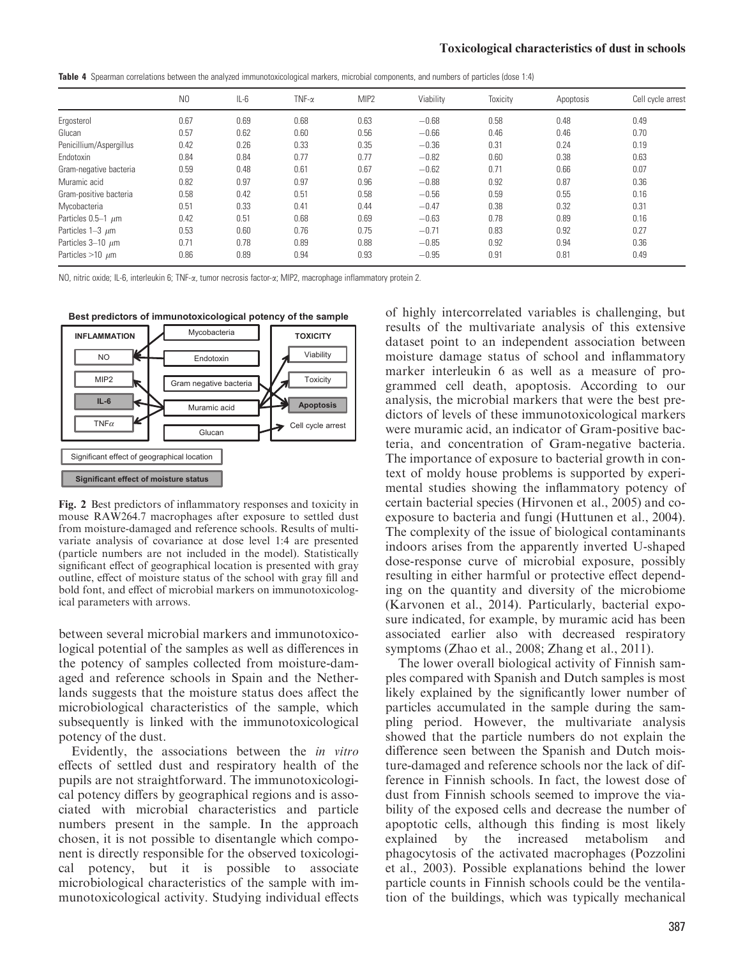Table 4 Spearman correlations between the analyzed immunotoxicological markers, microbial components, and numbers of particles (dose 1:4)

|                           | N <sub>0</sub> | $IL-6$ | TNF- $\alpha$ | MIP <sub>2</sub> | Viability | Toxicity | Apoptosis | Cell cycle arrest |
|---------------------------|----------------|--------|---------------|------------------|-----------|----------|-----------|-------------------|
| Ergosterol                | 0.67           | 0.69   | 0.68          | 0.63             | $-0.68$   | 0.58     | 0.48      | 0.49              |
| Glucan                    | 0.57           | 0.62   | 0.60          | 0.56             | $-0.66$   | 0.46     | 0.46      | 0.70              |
| Penicillium/Aspergillus   | 0.42           | 0.26   | 0.33          | 0.35             | $-0.36$   | 0.31     | 0.24      | 0.19              |
| Endotoxin                 | 0.84           | 0.84   | 0.77          | 0.77             | $-0.82$   | 0.60     | 0.38      | 0.63              |
| Gram-negative bacteria    | 0.59           | 0.48   | 0.61          | 0.67             | $-0.62$   | 0.71     | 0.66      | 0.07              |
| Muramic acid              | 0.82           | 0.97   | 0.97          | 0.96             | $-0.88$   | 0.92     | 0.87      | 0.36              |
| Gram-positive bacteria    | 0.58           | 0.42   | 0.51          | 0.58             | $-0.56$   | 0.59     | 0.55      | 0.16              |
| Mycobacteria              | 0.51           | 0.33   | 0.41          | 0.44             | $-0.47$   | 0.38     | 0.32      | 0.31              |
| Particles $0.5-1$ $\mu$ m | 0.42           | 0.51   | 0.68          | 0.69             | $-0.63$   | 0.78     | 0.89      | 0.16              |
| Particles $1-3$ $\mu$ m   | 0.53           | 0.60   | 0.76          | 0.75             | $-0.71$   | 0.83     | 0.92      | 0.27              |
| Particles $3-10 \mu m$    | 0.71           | 0.78   | 0.89          | 0.88             | $-0.85$   | 0.92     | 0.94      | 0.36              |
| Particles $>10 \mu$ m     | 0.86           | 0.89   | 0.94          | 0.93             | $-0.95$   | 0.91     | 0.81      | 0.49              |

NO, nitric oxide; IL-6, interleukin 6; TNF-a, tumor necrosis factor-a; MIP2, macrophage inflammatory protein 2.



Fig. 2 Best predictors of inflammatory responses and toxicity in mouse RAW264.7 macrophages after exposure to settled dust from moisture-damaged and reference schools. Results of multivariate analysis of covariance at dose level 1:4 are presented (particle numbers are not included in the model). Statistically significant effect of geographical location is presented with gray outline, effect of moisture status of the school with gray fill and bold font, and effect of microbial markers on immunotoxicological parameters with arrows.

between several microbial markers and immunotoxicological potential of the samples as well as differences in the potency of samples collected from moisture-damaged and reference schools in Spain and the Netherlands suggests that the moisture status does affect the microbiological characteristics of the sample, which subsequently is linked with the immunotoxicological potency of the dust.

Evidently, the associations between the in vitro effects of settled dust and respiratory health of the pupils are not straightforward. The immunotoxicological potency differs by geographical regions and is associated with microbial characteristics and particle numbers present in the sample. In the approach chosen, it is not possible to disentangle which component is directly responsible for the observed toxicological potency, but it is possible to associate microbiological characteristics of the sample with immunotoxicological activity. Studying individual effects

of highly intercorrelated variables is challenging, but results of the multivariate analysis of this extensive dataset point to an independent association between moisture damage status of school and inflammatory marker interleukin 6 as well as a measure of programmed cell death, apoptosis. According to our analysis, the microbial markers that were the best predictors of levels of these immunotoxicological markers were muramic acid, an indicator of Gram-positive bacteria, and concentration of Gram-negative bacteria. The importance of exposure to bacterial growth in context of moldy house problems is supported by experimental studies showing the inflammatory potency of certain bacterial species (Hirvonen et al., 2005) and coexposure to bacteria and fungi (Huttunen et al., 2004). The complexity of the issue of biological contaminants indoors arises from the apparently inverted U-shaped dose-response curve of microbial exposure, possibly resulting in either harmful or protective effect depending on the quantity and diversity of the microbiome (Karvonen et al., 2014). Particularly, bacterial exposure indicated, for example, by muramic acid has been associated earlier also with decreased respiratory symptoms (Zhao et al., 2008; Zhang et al., 2011).

The lower overall biological activity of Finnish samples compared with Spanish and Dutch samples is most likely explained by the significantly lower number of particles accumulated in the sample during the sampling period. However, the multivariate analysis showed that the particle numbers do not explain the difference seen between the Spanish and Dutch moisture-damaged and reference schools nor the lack of difference in Finnish schools. In fact, the lowest dose of dust from Finnish schools seemed to improve the viability of the exposed cells and decrease the number of apoptotic cells, although this finding is most likely explained by the increased metabolism and phagocytosis of the activated macrophages (Pozzolini et al., 2003). Possible explanations behind the lower particle counts in Finnish schools could be the ventilation of the buildings, which was typically mechanical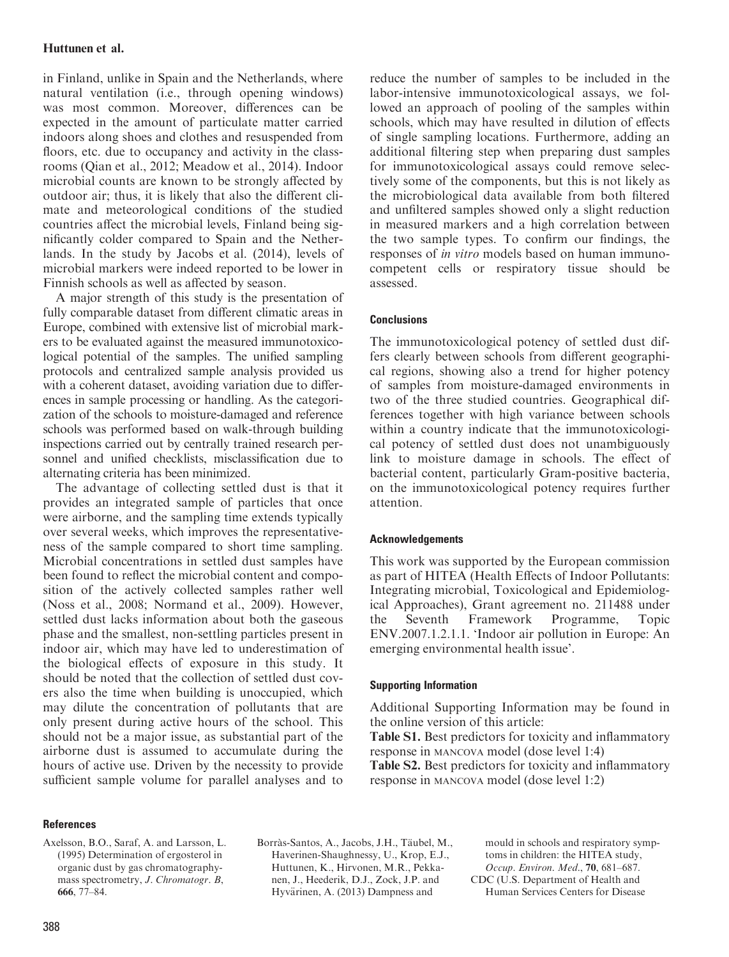in Finland, unlike in Spain and the Netherlands, where natural ventilation (i.e., through opening windows) was most common. Moreover, differences can be expected in the amount of particulate matter carried indoors along shoes and clothes and resuspended from floors, etc. due to occupancy and activity in the classrooms (Qian et al., 2012; Meadow et al., 2014). Indoor microbial counts are known to be strongly affected by outdoor air; thus, it is likely that also the different climate and meteorological conditions of the studied countries affect the microbial levels, Finland being significantly colder compared to Spain and the Netherlands. In the study by Jacobs et al. (2014), levels of microbial markers were indeed reported to be lower in Finnish schools as well as affected by season.

A major strength of this study is the presentation of fully comparable dataset from different climatic areas in Europe, combined with extensive list of microbial markers to be evaluated against the measured immunotoxicological potential of the samples. The unified sampling protocols and centralized sample analysis provided us with a coherent dataset, avoiding variation due to differences in sample processing or handling. As the categorization of the schools to moisture-damaged and reference schools was performed based on walk-through building inspections carried out by centrally trained research personnel and unified checklists, misclassification due to alternating criteria has been minimized.

The advantage of collecting settled dust is that it provides an integrated sample of particles that once were airborne, and the sampling time extends typically over several weeks, which improves the representativeness of the sample compared to short time sampling. Microbial concentrations in settled dust samples have been found to reflect the microbial content and composition of the actively collected samples rather well (Noss et al., 2008; Normand et al., 2009). However, settled dust lacks information about both the gaseous phase and the smallest, non-settling particles present in indoor air, which may have led to underestimation of the biological effects of exposure in this study. It should be noted that the collection of settled dust covers also the time when building is unoccupied, which may dilute the concentration of pollutants that are only present during active hours of the school. This should not be a major issue, as substantial part of the airborne dust is assumed to accumulate during the hours of active use. Driven by the necessity to provide sufficient sample volume for parallel analyses and to

reduce the number of samples to be included in the labor-intensive immunotoxicological assays, we followed an approach of pooling of the samples within schools, which may have resulted in dilution of effects of single sampling locations. Furthermore, adding an additional filtering step when preparing dust samples for immunotoxicological assays could remove selectively some of the components, but this is not likely as the microbiological data available from both filtered and unfiltered samples showed only a slight reduction in measured markers and a high correlation between the two sample types. To confirm our findings, the responses of in vitro models based on human immunocompetent cells or respiratory tissue should be assessed.

# Conclusions

The immunotoxicological potency of settled dust differs clearly between schools from different geographical regions, showing also a trend for higher potency of samples from moisture-damaged environments in two of the three studied countries. Geographical differences together with high variance between schools within a country indicate that the immunotoxicological potency of settled dust does not unambiguously link to moisture damage in schools. The effect of bacterial content, particularly Gram-positive bacteria, on the immunotoxicological potency requires further attention.

# Acknowledgements

This work was supported by the European commission as part of HITEA (Health Effects of Indoor Pollutants: Integrating microbial, Toxicological and Epidemiological Approaches), Grant agreement no. 211488 under the Seventh Framework Programme, Topic ENV.2007.1.2.1.1. 'Indoor air pollution in Europe: An emerging environmental health issue'.

#### Supporting Information

Additional Supporting Information may be found in the online version of this article:

Table S1. Best predictors for toxicity and inflammatory response in MANCOVA model (dose level 1:4)

Table S2. Best predictors for toxicity and inflammatory response in MANCOVA model (dose level 1:2)

#### References

Axelsson, B.O., Saraf, A. and Larsson, L. (1995) Determination of ergosterol in organic dust by gas chromatographymass spectrometry, J. Chromatogr. B, 666, 77–84.

Borràs-Santos, A., Jacobs, J.H., Täubel, M., Haverinen-Shaughnessy, U., Krop, E.J., Huttunen, K., Hirvonen, M.R., Pekkanen, J., Heederik, D.J., Zock, J.P. and Hyvärinen, A. (2013) Dampness and

mould in schools and respiratory symptoms in children: the HITEA study, Occup. Environ. Med., 70, 681–687.

CDC (U.S. Department of Health and Human Services Centers for Disease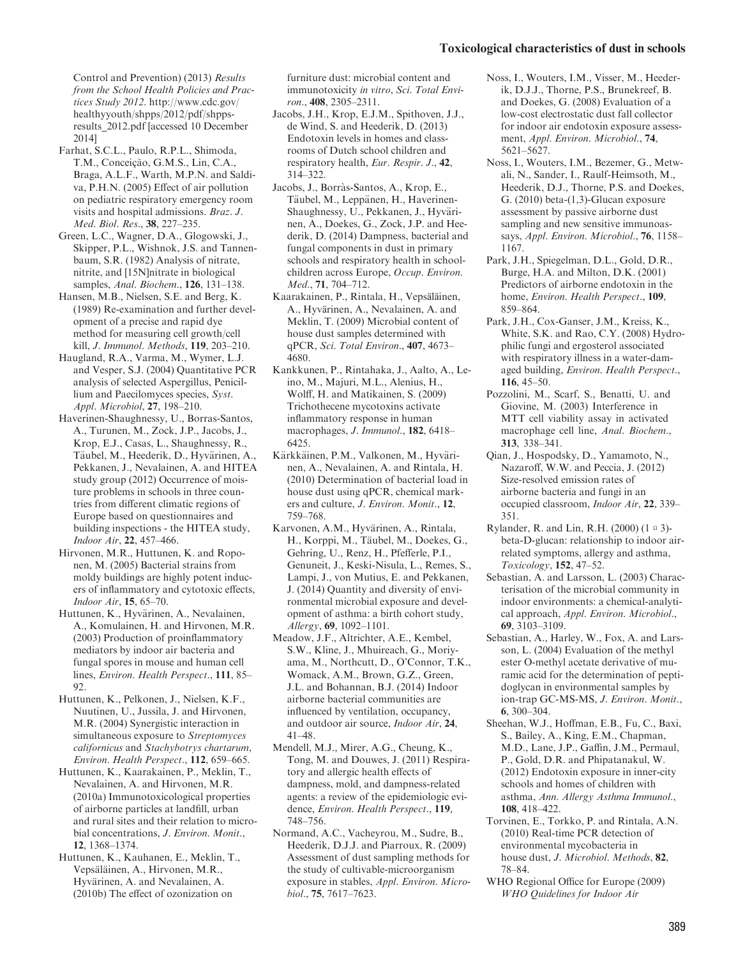Control and Prevention) (2013) Results from the School Health Policies and Practices Study 2012. [http://www.cdc.gov/](http://www.cdc.gov/healthyyouth/shpps/2012/pdf/shpps-results_2012.pdf) [healthyyouth/shpps/2012/pdf/shpps](http://www.cdc.gov/healthyyouth/shpps/2012/pdf/shpps-results_2012.pdf)[results\\_2012.pdf](http://www.cdc.gov/healthyyouth/shpps/2012/pdf/shpps-results_2012.pdf) [accessed 10 December 2014]

Farhat, S.C.L., Paulo, R.P.L., Shimoda, T.M., Conceição, G.M.S., Lin, C.A., Braga, A.L.F., Warth, M.P.N. and Saldiva, P.H.N. (2005) Effect of air pollution on pediatric respiratory emergency room visits and hospital admissions. Braz. J. Med. Biol. Res., 38, 227–235.

Green, L.C., Wagner, D.A., Glogowski, J., Skipper, P.L., Wishnok, J.S. and Tannenbaum, S.R. (1982) Analysis of nitrate, nitrite, and [15N]nitrate in biological samples, Anal. Biochem., 126, 131–138.

Hansen, M.B., Nielsen, S.E. and Berg, K. (1989) Re-examination and further development of a precise and rapid dye method for measuring cell growth/cell kill, J. Immunol. Methods, 119, 203–210.

Haugland, R.A., Varma, M., Wymer, L.J. and Vesper, S.J. (2004) Quantitative PCR analysis of selected Aspergillus, Penicillium and Paecilomyces species, Syst. Appl. Microbiol, 27, 198–210.

- Haverinen-Shaughnessy, U., Borras-Santos, A., Turunen, M., Zock, J.P., Jacobs, J., Krop, E.J., Casas, L., Shaughnessy, R., Täubel, M., Heederik, D., Hyvärinen, A., Pekkanen, J., Nevalainen, A. and HITEA study group (2012) Occurrence of moisture problems in schools in three countries from different climatic regions of Europe based on questionnaires and building inspections - the HITEA study, Indoor Air, 22, 457–466.
- Hirvonen, M.R., Huttunen, K. and Roponen, M. (2005) Bacterial strains from moldy buildings are highly potent inducers of inflammatory and cytotoxic effects, Indoor Air, 15, 65–70.
- Huttunen, K., Hyvärinen, A., Nevalainen, A., Komulainen, H. and Hirvonen, M.R. (2003) Production of proinflammatory mediators by indoor air bacteria and fungal spores in mouse and human cell lines, Environ. Health Perspect., 111, 85– 92.
- Huttunen, K., Pelkonen, J., Nielsen, K.F., Nuutinen, U., Jussila, J. and Hirvonen, M.R. (2004) Synergistic interaction in simultaneous exposure to Streptomyces californicus and Stachybotrys chartarum, Environ. Health Perspect., 112, 659–665.
- Huttunen, K., Kaarakainen, P., Meklin, T., Nevalainen, A. and Hirvonen, M.R. (2010a) Immunotoxicological properties of airborne particles at landfill, urban and rural sites and their relation to microbial concentrations, J. Environ. Monit., 12, 1368–1374.
- Huttunen, K., Kauhanen, E., Meklin, T., Vepsäläinen, A., Hirvonen, M.R., Hyvärinen, A. and Nevalainen, A. (2010b) The effect of ozonization on

furniture dust: microbial content and immunotoxicity in vitro, Sci. Total Environ., 408, 2305–2311.

- Jacobs, J.H., Krop, E.J.M., Spithoven, J.J., de Wind, S. and Heederik, D. (2013) Endotoxin levels in homes and classrooms of Dutch school children and respiratory health, Eur. Respir. J., 42, 314–322.
- Jacobs, J., Borràs-Santos, A., Krop, E., Täubel, M., Leppänen, H., Haverinen-Shaughnessy, U., Pekkanen, J., Hyvärinen, A., Doekes, G., Zock, J.P. and Heederik, D. (2014) Dampness, bacterial and fungal components in dust in primary schools and respiratory health in schoolchildren across Europe, Occup. Environ. Med., 71, 704–712.
- Kaarakainen, P., Rintala, H., Vepsäläinen, A., Hyvärinen, A., Nevalainen, A. and Meklin, T. (2009) Microbial content of house dust samples determined with qPCR, Sci. Total Environ., 407, 4673– 4680.
- Kankkunen, P., Rintahaka, J., Aalto, A., Leino, M., Majuri, M.L., Alenius, H., Wolff, H. and Matikainen, S. (2009) Trichothecene mycotoxins activate inflammatory response in human macrophages, *J. Immunol.*, 182, 6418– 6425.
- Kärkkäinen, P.M., Valkonen, M., Hyvärinen, A., Nevalainen, A. and Rintala, H. (2010) Determination of bacterial load in house dust using qPCR, chemical markers and culture, J. Environ. Monit., 12, 759–768.
- Karvonen, A.M., Hyvärinen, A., Rintala, H., Korppi, M., Täubel, M., Doekes, G., Gehring, U., Renz, H., Pfefferle, P.I., Genuneit, J., Keski-Nisula, L., Remes, S., Lampi, J., von Mutius, E. and Pekkanen, J. (2014) Quantity and diversity of environmental microbial exposure and development of asthma: a birth cohort study, Allergy, 69, 1092–1101.
- Meadow, J.F., Altrichter, A.E., Kembel, S.W., Kline, J., Mhuireach, G., Moriyama, M., Northcutt, D., O'Connor, T.K., Womack, A.M., Brown, G.Z., Green, J.L. and Bohannan, B.J. (2014) Indoor airborne bacterial communities are influenced by ventilation, occupancy, and outdoor air source, Indoor Air, 24, 41–48.
- Mendell, M.J., Mirer, A.G., Cheung, K., Tong, M. and Douwes, J. (2011) Respiratory and allergic health effects of dampness, mold, and dampness-related agents: a review of the epidemiologic evidence, Environ. Health Perspect., 119, 748–756.
- Normand, A.C., Vacheyrou, M., Sudre, B., Heederik, D.J.J. and Piarroux, R. (2009) Assessment of dust sampling methods for the study of cultivable-microorganism exposure in stables, Appl. Environ. Microbiol., 75, 7617–7623.
- Noss, I., Wouters, I.M., Visser, M., Heederik, D.J.J., Thorne, P.S., Brunekreef, B. and Doekes, G. (2008) Evaluation of a low-cost electrostatic dust fall collector for indoor air endotoxin exposure assessment, Appl. Environ. Microbiol., 74, 5621–5627.
- Noss, I., Wouters, I.M., Bezemer, G., Metwali, N., Sander, I., Raulf-Heimsoth, M., Heederik, D.J., Thorne, P.S. and Doekes, G. (2010) beta-(1,3)-Glucan exposure assessment by passive airborne dust sampling and new sensitive immunoassays, Appl. Environ. Microbiol., 76, 1158– 1167.
- Park, J.H., Spiegelman, D.L., Gold, D.R., Burge, H.A. and Milton, D.K. (2001) Predictors of airborne endotoxin in the home, Environ. Health Perspect., 109, 859–864.
- Park, J.H., Cox-Ganser, J.M., Kreiss, K., White, S.K. and Rao, C.Y. (2008) Hydrophilic fungi and ergosterol associated with respiratory illness in a water-damaged building, Environ. Health Perspect., 116, 45–50.
- Pozzolini, M., Scarf, S., Benatti, U. and Giovine, M. (2003) Interference in MTT cell viability assay in activated macrophage cell line, Anal. Biochem., 313, 338–341.
- Qian, J., Hospodsky, D., Yamamoto, N., Nazaroff, W.W. and Peccia, J. (2012) Size-resolved emission rates of airborne bacteria and fungi in an occupied classroom, Indoor Air, 22, 339– 351.
- Rylander, R. and Lin, R.H. (2000) ( $1 \circ 3$ )beta-D-glucan: relationship to indoor airrelated symptoms, allergy and asthma, Toxicology, 152, 47–52.
- Sebastian, A. and Larsson, L. (2003) Characterisation of the microbial community in indoor environments: a chemical-analytical approach, Appl. Environ. Microbiol., 69, 3103–3109.
- Sebastian, A., Harley, W., Fox, A. and Larsson, L. (2004) Evaluation of the methyl ester O-methyl acetate derivative of muramic acid for the determination of peptidoglycan in environmental samples by ion-trap GC-MS-MS, J. Environ. Monit., 6, 300–304.
- Sheehan, W.J., Hoffman, E.B., Fu, C., Baxi, S., Bailey, A., King, E.M., Chapman, M.D., Lane, J.P., Gaffin, J.M., Permaul, P., Gold, D.R. and Phipatanakul, W. (2012) Endotoxin exposure in inner-city schools and homes of children with asthma, Ann. Allergy Asthma Immunol., 108, 418–422.
- Torvinen, E., Torkko, P. and Rintala, A.N. (2010) Real-time PCR detection of environmental mycobacteria in house dust, J. Microbiol. Methods, 82, 78–84.
- WHO Regional Office for Europe (2009) WHO Quidelines for Indoor Air